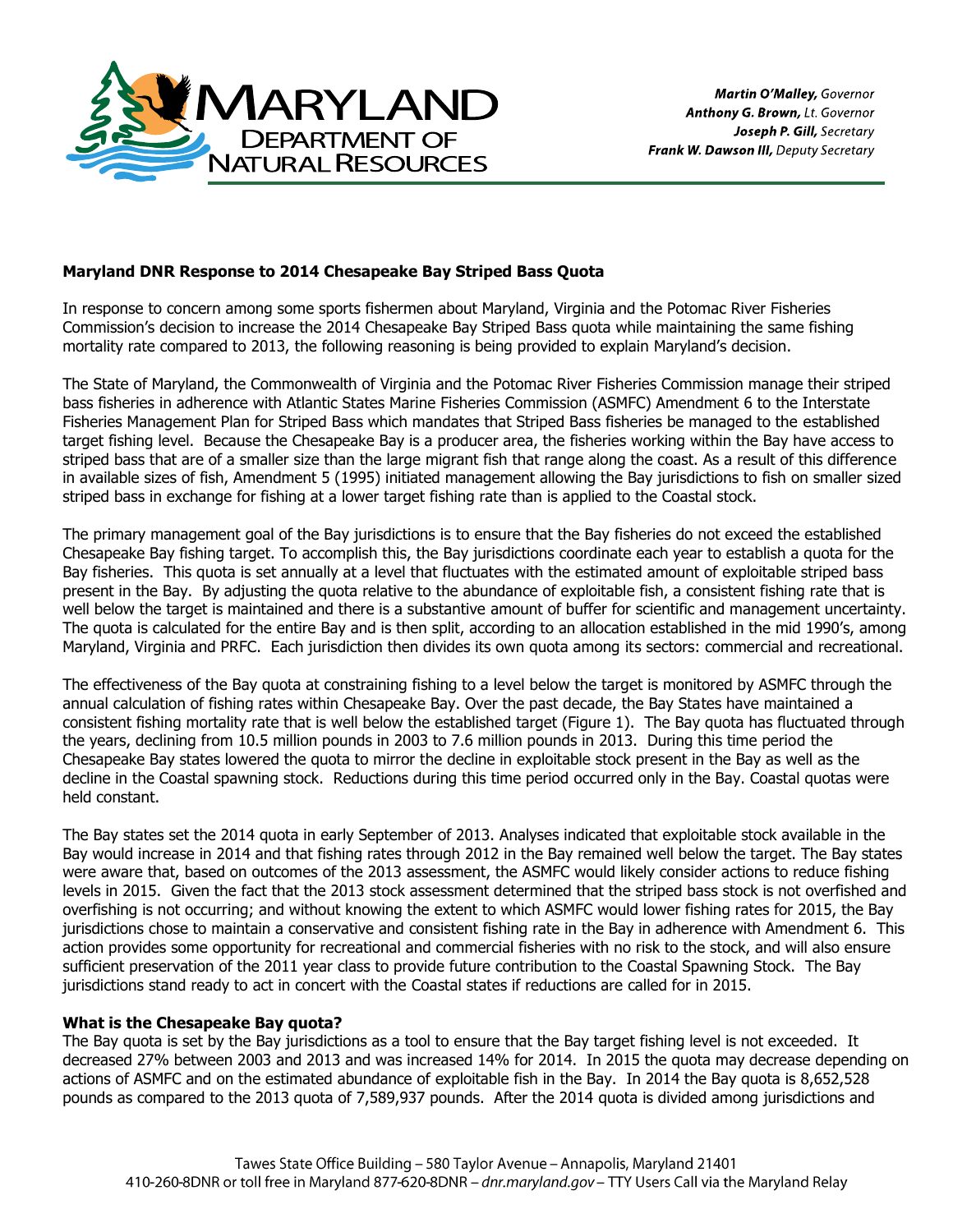

# **Maryland DNR Response to 2014 Chesapeake Bay Striped Bass Quota**

In response to concern among some sports fishermen about Maryland, Virginia and the Potomac River Fisheries Commission's decision to increase the 2014 Chesapeake Bay Striped Bass quota while maintaining the same fishing mortality rate compared to 2013, the following reasoning is being provided to explain Maryland's decision.

The State of Maryland, the Commonwealth of Virginia and the Potomac River Fisheries Commission manage their striped bass fisheries in adherence with Atlantic States Marine Fisheries Commission (ASMFC) Amendment 6 to the Interstate Fisheries Management Plan for Striped Bass which mandates that Striped Bass fisheries be managed to the established target fishing level. Because the Chesapeake Bay is a producer area, the fisheries working within the Bay have access to striped bass that are of a smaller size than the large migrant fish that range along the coast. As a result of this difference in available sizes of fish, Amendment 5 (1995) initiated management allowing the Bay jurisdictions to fish on smaller sized striped bass in exchange for fishing at a lower target fishing rate than is applied to the Coastal stock.

The primary management goal of the Bay jurisdictions is to ensure that the Bay fisheries do not exceed the established Chesapeake Bay fishing target. To accomplish this, the Bay jurisdictions coordinate each year to establish a quota for the Bay fisheries. This quota is set annually at a level that fluctuates with the estimated amount of exploitable striped bass present in the Bay. By adjusting the quota relative to the abundance of exploitable fish, a consistent fishing rate that is well below the target is maintained and there is a substantive amount of buffer for scientific and management uncertainty. The quota is calculated for the entire Bay and is then split, according to an allocation established in the mid 1990's, among Maryland, Virginia and PRFC. Each jurisdiction then divides its own quota among its sectors: commercial and recreational.

The effectiveness of the Bay quota at constraining fishing to a level below the target is monitored by ASMFC through the annual calculation of fishing rates within Chesapeake Bay. Over the past decade, the Bay States have maintained a consistent fishing mortality rate that is well below the established target (Figure 1). The Bay quota has fluctuated through the years, declining from 10.5 million pounds in 2003 to 7.6 million pounds in 2013. During this time period the Chesapeake Bay states lowered the quota to mirror the decline in exploitable stock present in the Bay as well as the decline in the Coastal spawning stock. Reductions during this time period occurred only in the Bay. Coastal quotas were held constant.

The Bay states set the 2014 quota in early September of 2013. Analyses indicated that exploitable stock available in the Bay would increase in 2014 and that fishing rates through 2012 in the Bay remained well below the target. The Bay states were aware that, based on outcomes of the 2013 assessment, the ASMFC would likely consider actions to reduce fishing levels in 2015. Given the fact that the 2013 stock assessment determined that the striped bass stock is not overfished and overfishing is not occurring; and without knowing the extent to which ASMFC would lower fishing rates for 2015, the Bay jurisdictions chose to maintain a conservative and consistent fishing rate in the Bay in adherence with Amendment 6. This action provides some opportunity for recreational and commercial fisheries with no risk to the stock, and will also ensure sufficient preservation of the 2011 year class to provide future contribution to the Coastal Spawning Stock. The Bay jurisdictions stand ready to act in concert with the Coastal states if reductions are called for in 2015.

## **What is the Chesapeake Bay quota?**

The Bay quota is set by the Bay jurisdictions as a tool to ensure that the Bay target fishing level is not exceeded. It decreased 27% between 2003 and 2013 and was increased 14% for 2014. In 2015 the quota may decrease depending on actions of ASMFC and on the estimated abundance of exploitable fish in the Bay. In 2014 the Bay quota is 8,652,528 pounds as compared to the 2013 quota of 7,589,937 pounds. After the 2014 quota is divided among jurisdictions and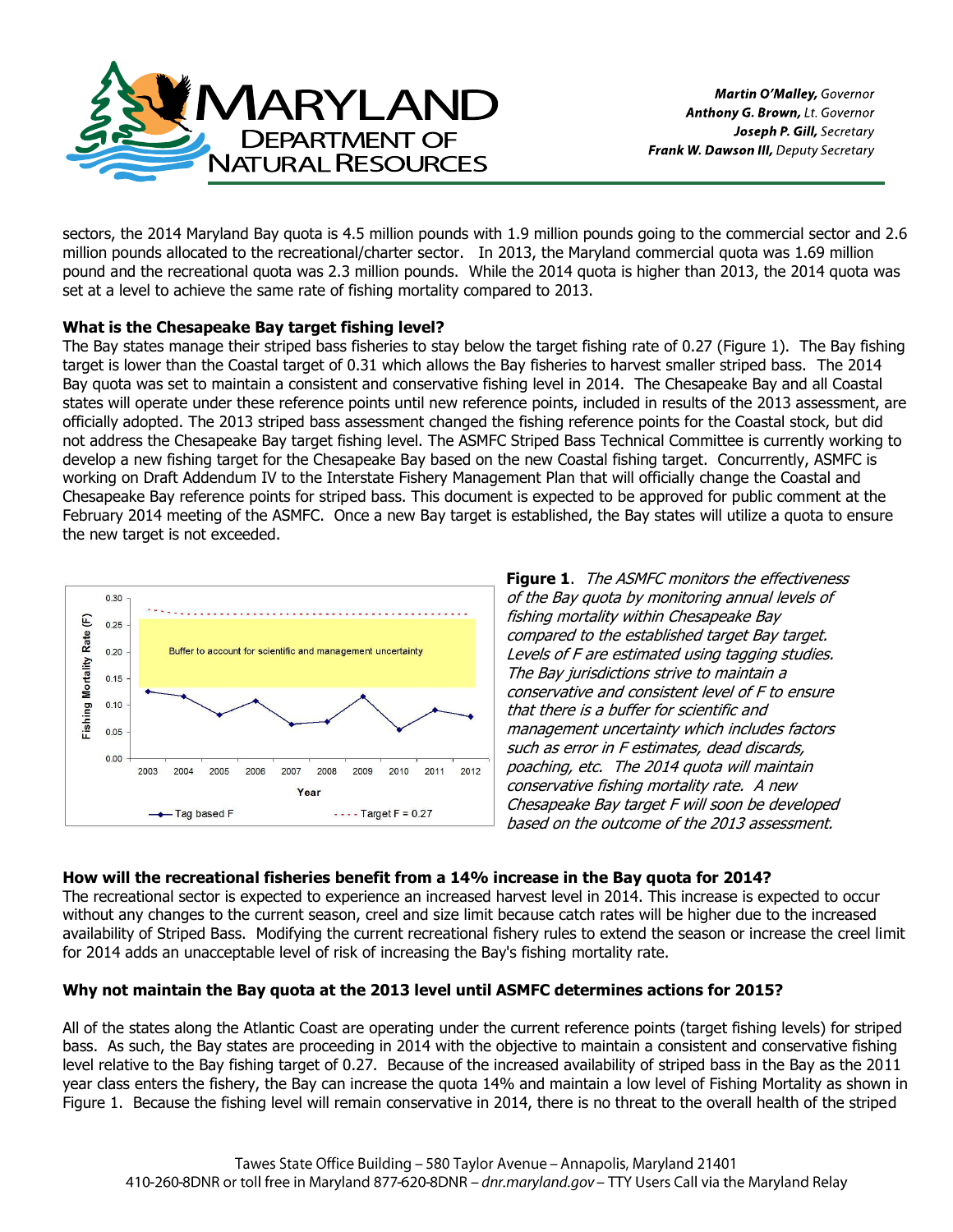

sectors, the 2014 Maryland Bay quota is 4.5 million pounds with 1.9 million pounds going to the commercial sector and 2.6 million pounds allocated to the recreational/charter sector. In 2013, the Maryland commercial quota was 1.69 million pound and the recreational quota was 2.3 million pounds. While the 2014 quota is higher than 2013, the 2014 quota was set at a level to achieve the same rate of fishing mortality compared to 2013.

# **What is the Chesapeake Bay target fishing level?**

The Bay states manage their striped bass fisheries to stay below the target fishing rate of 0.27 (Figure 1). The Bay fishing target is lower than the Coastal target of 0.31 which allows the Bay fisheries to harvest smaller striped bass. The 2014 Bay quota was set to maintain a consistent and conservative fishing level in 2014. The Chesapeake Bay and all Coastal states will operate under these reference points until new reference points, included in results of the 2013 assessment, are officially adopted. The 2013 striped bass assessment changed the fishing reference points for the Coastal stock, but did not address the Chesapeake Bay target fishing level. The ASMFC Striped Bass Technical Committee is currently working to develop a new fishing target for the Chesapeake Bay based on the new Coastal fishing target. Concurrently, ASMFC is working on Draft Addendum IV to the Interstate Fishery Management Plan that will officially change the Coastal and Chesapeake Bay reference points for striped bass. This document is expected to be approved for public comment at the February 2014 meeting of the ASMFC. Once a new Bay target is established, the Bay states will utilize a quota to ensure the new target is not exceeded.



**Figure 1**. The ASMFC monitors the effectiveness of the Bay quota by monitoring annual levels of fishing mortality within Chesapeake Bay compared to the established target Bay target. Levels of F are estimated using tagging studies. The Bay jurisdictions strive to maintain a conservative and consistent level of F to ensure that there is a buffer for scientific and management uncertainty which includes factors such as error in F estimates, dead discards, poaching, etc. The 2014 quota will maintain conservative fishing mortality rate. A new Chesapeake Bay target F will soon be developed based on the outcome of the 2013 assessment.

## **How will the recreational fisheries benefit from a 14% increase in the Bay quota for 2014?**

The recreational sector is expected to experience an increased harvest level in 2014. This increase is expected to occur without any changes to the current season, creel and size limit because catch rates will be higher due to the increased availability of Striped Bass. Modifying the current recreational fishery rules to extend the season or increase the creel limit for 2014 adds an unacceptable level of risk of increasing the Bay's fishing mortality rate.

## **Why not maintain the Bay quota at the 2013 level until ASMFC determines actions for 2015?**

All of the states along the Atlantic Coast are operating under the current reference points (target fishing levels) for striped bass. As such, the Bay states are proceeding in 2014 with the objective to maintain a consistent and conservative fishing level relative to the Bay fishing target of 0.27. Because of the increased availability of striped bass in the Bay as the 2011 year class enters the fishery, the Bay can increase the quota 14% and maintain a low level of Fishing Mortality as shown in Figure 1. Because the fishing level will remain conservative in 2014, there is no threat to the overall health of the striped